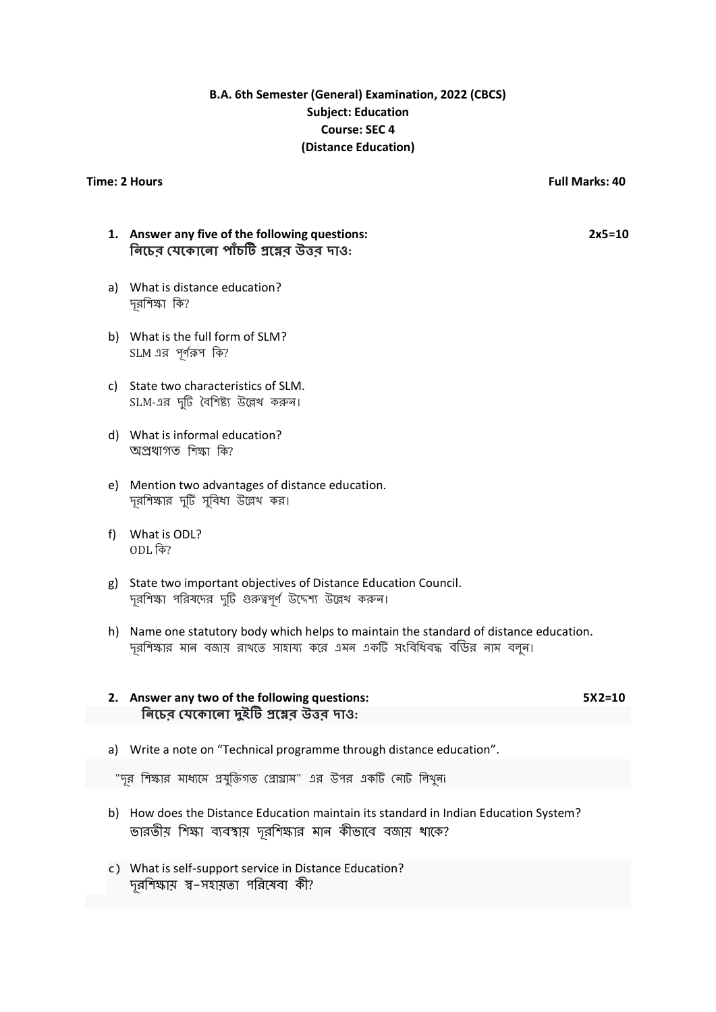# **B.A. 6th Semester (General) Examination, 2022 (CBCS) Subject: Education Course: SEC 4 (Distance Education)**

### **Time: 2 Hours Full Marks: 40**

## **1. Answer any five of the following questions: 2x5=10 নিচের যেচ োচিো প্রচের উত্তর দোও:**

- a) What is distance education? দূরশলক্ষা শি?
- b) What is the full form of SLM? SLM এর পূর্ণরূপ কি?
- c) State two characteristics of SLM. SLM-এর দুটি বৈশিষ্ট্য উল্লেখ করুন।
- d) What is informal education? অপ্ৰথাগত শিক্ষা কি?
- e) Mention two advantages of distance education. দূরশিক্ষার দুটি সুবিধা উল্লেখ কর।
- f) What is ODL? ODL শি?
- g) State two important objectives of Distance Education Council. দূরশিক্ষা পরিষদের দুটি গুরুত্বপূর্ণ উদেশ্য উল্লেখ করুন।
- h) Name one statutory body which helps to maintain the standard of distance education. দূরশিক্ষার মান বজায় রাখতে সাহায্য করে এমন একটি সংবিধিবদ্ধ বড়ির নাম বলুন।

## **2. Answer any two of the following questions: 5X2=10 নিচের যেকোনো দুইটি প্রয়ের উত্তর দাও:**

a) Write a note on "Technical programme through distance education".

"দূর শিক্ষার মাধ্যমে প্রযুক্তিগত প্রোগ্রাম" এর উপর একটি নোট লিখুনা

- b) How does the Distance Education maintain its standard in Indian Education System? ভারতীয় শিক্ষা ব্যবস্থায় দূরশিক্ষার মান কীভাবে বজায় থাকে?
- c) What is self-support service in Distance Education? দূরশিক্ষায় স্ব–সহায়তা পরিষেবা কী?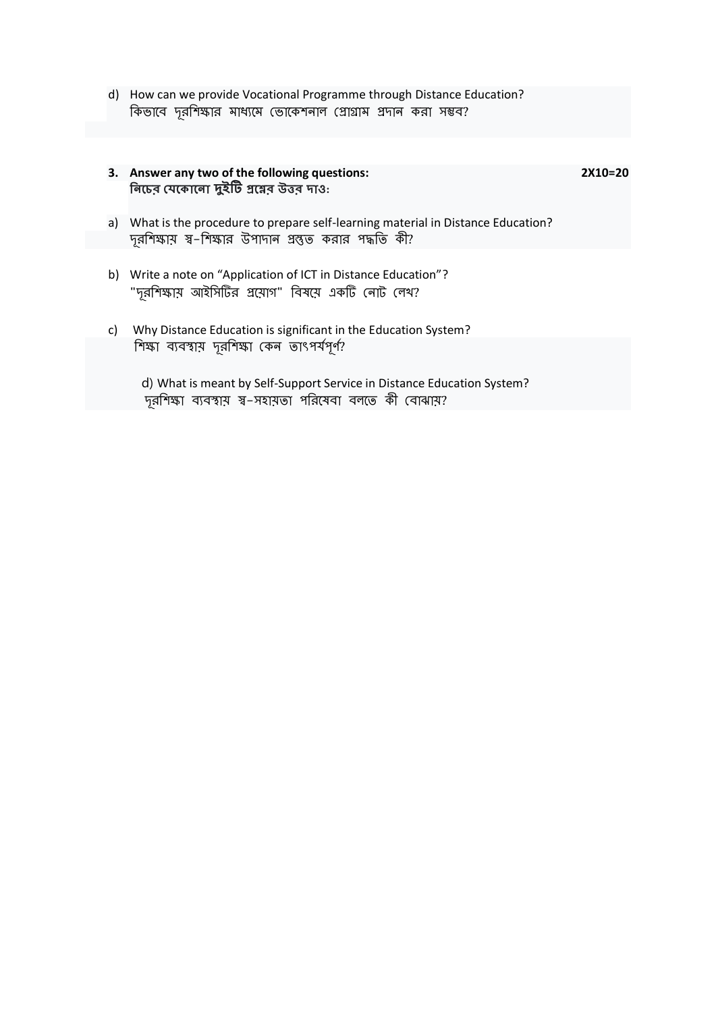d) How can we provide Vocational Programme through Distance Education? কিভাবে দূরশিক্ষার মাধ্যমে ভোকেশনাল প্রোগ্রাম প্রদান করা সম্ভব?

|    | 3. Answer any two of the following questions:<br>নিচের যেকোনো দুইটি গ্রয়ের উত্তর দাও:                                                       | 2X10=20 |
|----|----------------------------------------------------------------------------------------------------------------------------------------------|---------|
|    | a) What is the procedure to prepare self-learning material in Distance Education?<br>দূরশিক্ষায় ম্ব–শিক্ষার উপাদান প্রস্তুত করার পদ্ধতি কী? |         |
|    | b) Write a note on "Application of ICT in Distance Education"?<br>"দূরশিক্ষায় আইসিটির প্রয়োগ" বিষয়ে একটি নোট লেখ?                         |         |
| C) | Why Distance Education is significant in the Education System?                                                                               |         |
|    | শিক্ষা ব্যবস্থায় দূরশিক্ষা কেন তাৎপর্যপূর্ণ?                                                                                                |         |
|    | d) What is meant by Self-Support Service in Distance Education System?<br>দূরশিক্ষা ব্যবস্থায় স্ব–সহায়তা পরিষেবা বলতে কী বোঝায়?           |         |